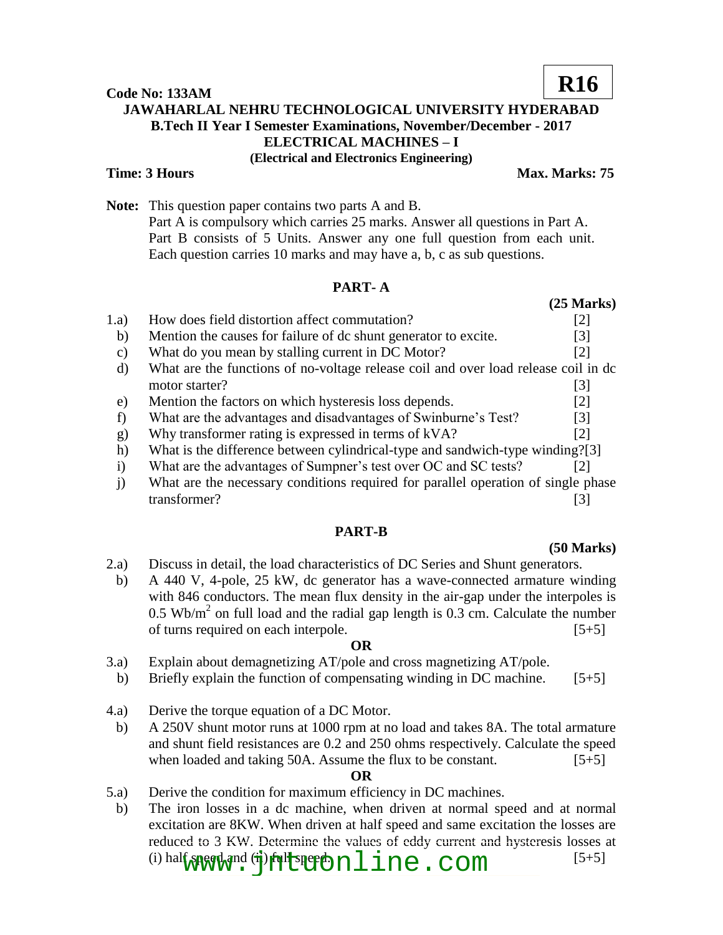## **Code No: 133AM JAWAHARLAL NEHRU TECHNOLOGICAL UNIVERSITY HYDERABAD B.Tech II Year I Semester Examinations, November/December - 2017 ELECTRICAL MACHINES – I (Electrical and Electronics Engineering) Time: 3 Hours Max. Marks: 75 R16**

**Note:** This question paper contains two parts A and B. Part A is compulsory which carries 25 marks. Answer all questions in Part A. Part B consists of 5 Units. Answer any one full question from each unit. Each question carries 10 marks and may have a, b, c as sub questions.

# **PART- A**

|          |                                                                                    | $(25 \text{ Marks})$ |
|----------|------------------------------------------------------------------------------------|----------------------|
| 1.a)     | How does field distortion affect commutation?                                      | [2]                  |
| b)       | Mention the causes for failure of dc shunt generator to excite.                    | [3]                  |
| C)       | What do you mean by stalling current in DC Motor?                                  | $\lceil 2 \rceil$    |
| d)       | What are the functions of no-voltage release coil and over load release coil in dc |                      |
|          | motor starter?                                                                     | 131                  |
| e)       | Mention the factors on which hysteresis loss depends.                              | [2]                  |
|          | What are the advantages and disadvantages of Swinburne's Test?                     | $\lceil 3 \rceil$    |
| g)       | Why transformer rating is expressed in terms of kVA?                               | $\lceil 2 \rceil$    |
| h)       | What is the difference between cylindrical-type and sandwich-type winding?[3]      |                      |
| $\rm i)$ | What are the advantages of Sumpner's test over OC and SC tests?                    | 12 I                 |
|          | What are the necessary conditions required for parallel operation of single phase  |                      |

transformer? [3]

# **PART-B**

# **(50 Marks)**

- 2.a) Discuss in detail, the load characteristics of DC Series and Shunt generators.
- b) A 440 V, 4-pole, 25 kW, dc generator has a wave-connected armature winding with 846 conductors. The mean flux density in the air-gap under the interpoles is  $0.5 \text{ Wb/m}^2$  on full load and the radial gap length is  $0.3 \text{ cm}$ . Calculate the number of turns required on each interpole. [5+5]

# **OR**

- 3.a) Explain about demagnetizing AT/pole and cross magnetizing AT/pole.
- b) Briefly explain the function of compensating winding in DC machine.  $[5+5]$
- 4.a) Derive the torque equation of a DC Motor.
- b) A 250V shunt motor runs at 1000 rpm at no load and takes 8A. The total armature and shunt field resistances are 0.2 and 250 ohms respectively. Calculate the speed when loaded and taking 50A. Assume the flux to be constant.  $[5+5]$

# **OR**

- 5.a) Derive the condition for maximum efficiency in DC machines.
- b) The iron losses in a dc machine, when driven at normal speed and at normal excitation are 8KW. When driven at half speed and same excitation the losses are reduced to 3 KW. Determine the values of eddy current and hysteresis losses at (i) half speed and  $(i)$  full speed.  $i$  me. com  $[5+5]$